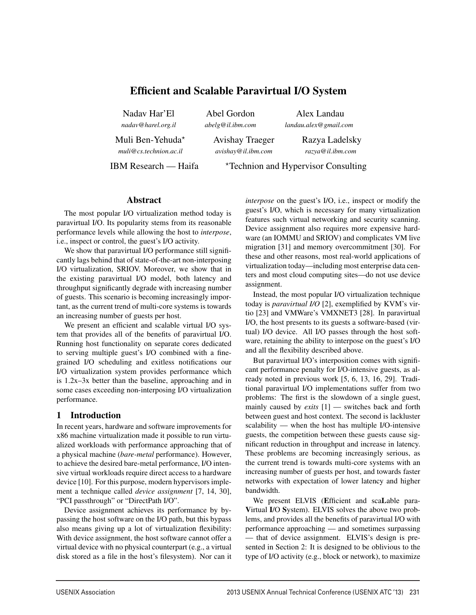# Efficient and Scalable Paravirtual I/O System

Nadav Har'El *nadav@harel.org.il*

Abel Gordon *abelg@il.ibm.com*

Alex Landau *landau.alex@gmail.com*

Muli Ben-Yehuda*<sup>⋆</sup> muli@cs.technion.ac.il*

Avishay Traeger *avishay@il.ibm.com*

Razya Ladelsky *razya@il.ibm.com*

IBM Research — Haifa <sup>\*</sup>Technion and Hypervisor Consulting

# Abstract

The most popular I/O virtualization method today is paravirtual I/O. Its popularity stems from its reasonable performance levels while allowing the host to *interpose*, i.e., inspect or control, the guest's I/O activity.

We show that paravirtual I/O performance still significantly lags behind that of state-of-the-art non-interposing I/O virtualization, SRIOV. Moreover, we show that in the existing paravirtual I/O model, both latency and throughput significantly degrade with increasing number of guests. This scenario is becoming increasingly important, as the current trend of multi-core systems is towards an increasing number of guests per host.

We present an efficient and scalable virtual I/O system that provides all of the benefits of paravirtual I/O. Running host functionality on separate cores dedicated to serving multiple guest's I/O combined with a finegrained I/O scheduling and exitless notifications our I/O virtualization system provides performance which is 1.2x–3x better than the baseline, approaching and in some cases exceeding non-interposing I/O virtualization performance.

# 1 Introduction

In recent years, hardware and software improvements for x86 machine virtualization made it possible to run virtualized workloads with performance approaching that of a physical machine (*bare-metal* performance). However, to achieve the desired bare-metal performance, I/O intensive virtual workloads require direct access to a hardware device [10]. For this purpose, modern hypervisors implement a technique called *device assignment* [7, 14, 30], "PCI passthrough" or "DirectPath I/O".

Device assignment achieves its performance by bypassing the host software on the I/O path, but this bypass also means giving up a lot of virtualization flexibility: With device assignment, the host software cannot offer a virtual device with no physical counterpart (e.g., a virtual disk stored as a file in the host's filesystem). Nor can it *interpose* on the guest's I/O, i.e., inspect or modify the guest's I/O, which is necessary for many virtualization features such virtual networking and security scanning. Device assignment also requires more expensive hardware (an IOMMU and SRIOV) and complicates VM live migration [31] and memory overcommitment [30]. For these and other reasons, most real-world applications of virtualization today—including most enterprise data centers and most cloud computing sites—do not use device assignment.

Instead, the most popular I/O virtualization technique today is *paravirtual I/O* [2], exemplified by KVM's virtio [23] and VMWare's VMXNET3 [28]. In paravirtual I/O, the host presents to its guests a software-based (virtual) I/O device. All I/O passes through the host software, retaining the ability to interpose on the guest's I/O and all the flexibility described above.

But paravirtual I/O's interposition comes with significant performance penalty for I/O-intensive guests, as already noted in previous work [5, 6, 13, 16, 29]. Traditional paravirtual I/O implementations suffer from two problems: The first is the slowdown of a single guest, mainly caused by *exits* [1] — switches back and forth between guest and host context. The second is lackluster scalability — when the host has multiple I/O-intensive guests, the competition between these guests cause significant reduction in throughput and increase in latency. These problems are becoming increasingly serious, as the current trend is towards multi-core systems with an increasing number of guests per host, and towards faster networks with expectation of lower latency and higher bandwidth.

We present ELVIS (Efficient and scaLable para-Virtual I/O System). ELVIS solves the above two problems, and provides all the benefits of paravirtual I/O with performance approaching — and sometimes surpassing — that of device assignment. ELVIS's design is presented in Section 2: It is designed to be oblivious to the type of I/O activity (e.g., block or network), to maximize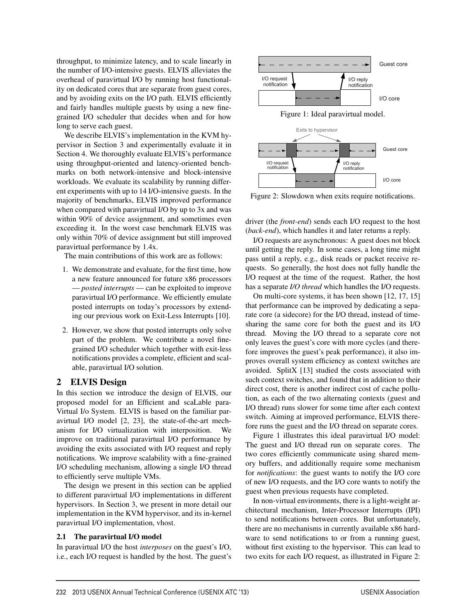throughput, to minimize latency, and to scale linearly in the number of I/O-intensive guests. ELVIS alleviates the overhead of paravirtual I/O by running host functionality on dedicated cores that are separate from guest cores, and by avoiding exits on the I/O path. ELVIS efficiently and fairly handles multiple guests by using a new finegrained I/O scheduler that decides when and for how long to serve each guest.

We describe ELVIS's implementation in the KVM hypervisor in Section 3 and experimentally evaluate it in Section 4. We thoroughly evaluate ELVIS's performance using throughput-oriented and latency-oriented benchmarks on both network-intensive and block-intensive workloads. We evaluate its scalability by running different experiments with up to 14 I/O-intensive guests. In the majority of benchmarks, ELVIS improved performance when compared with paravirtual I/O by up to 3x and was within 90% of device assignment, and sometimes even exceeding it. In the worst case benchmark ELVIS was only within 70% of device assignment but still improved paravirtual performance by 1.4x.

The main contributions of this work are as follows:

- 1. We demonstrate and evaluate, for the first time, how a new feature announced for future x86 processors — *posted interrupts* — can be exploited to improve paravirtual I/O performance. We efficiently emulate posted interrupts on today's processors by extending our previous work on Exit-Less Interrupts [10].
- 2. However, we show that posted interrupts only solve part of the problem. We contribute a novel finegrained I/O scheduler which together with exit-less notifications provides a complete, efficient and scalable, paravirtual I/O solution.

# 2 ELVIS Design

In this section we introduce the design of ELVIS, our proposed model for an Efficient and scaLable para-Virtual I/o System. ELVIS is based on the familiar paravirtual I/O model [2, 23], the state-of-the-art mechanism for I/O virtualization with interposition. We improve on traditional paravirtual I/O performance by avoiding the exits associated with I/O request and reply notifications. We improve scalability with a fine-grained I/O scheduling mechanism, allowing a single I/O thread to efficiently serve multiple VMs.

The design we present in this section can be applied to different paravirtual I/O implementations in different hypervisors. In Section 3, we present in more detail our implementation in the KVM hypervisor, and its in-kernel paravirtual I/O implementation, vhost.

### 2.1 The paravirtual I/O model

In paravirtual I/O the host *interposes* on the guest's I/O, i.e., each I/O request is handled by the host. The guest's



Figure 2: Slowdown when exits require notifications.

driver (the *front-end*) sends each I/O request to the host (*back-end*), which handles it and later returns a reply.

I/O requests are asynchronous: A guest does not block until getting the reply. In some cases, a long time might pass until a reply, e.g., disk reads or packet receive requests. So generally, the host does not fully handle the I/O request at the time of the request. Rather, the host has a separate *I/O thread* which handles the I/O requests.

On multi-core systems, it has been shown [12, 17, 15] that performance can be improved by dedicating a separate core (a sidecore) for the I/O thread, instead of timesharing the same core for both the guest and its I/O thread. Moving the I/O thread to a separate core not only leaves the guest's core with more cycles (and therefore improves the guest's peak performance), it also improves overall system efficiency as context switches are avoided. SplitX [13] studied the costs associated with such context switches, and found that in addition to their direct cost, there is another indirect cost of cache pollution, as each of the two alternating contexts (guest and I/O thread) runs slower for some time after each context switch. Aiming at improved performance, ELVIS therefore runs the guest and the I/O thread on separate cores.

Figure 1 illustrates this ideal paravirtual I/O model: The guest and I/O thread run on separate cores. The two cores efficiently communicate using shared memory buffers, and additionally require some mechanism for *notifications*: the guest wants to notify the I/O core of new I/O requests, and the I/O core wants to notify the guest when previous requests have completed.

In non-virtual environments, there is a light-weight architectural mechanism, Inter-Processor Interrupts (IPI) to send notifications between cores. But unfortunately, there are no mechanisms in currently available x86 hardware to send notifications to or from a running guest, without first existing to the hypervisor. This can lead to two exits for each I/O request, as illustrated in Figure 2: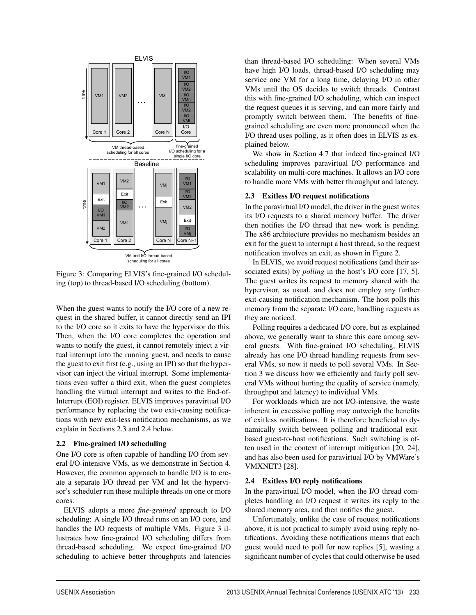

Figure 3: Comparing ELVIS's fine-grained I/O scheduling (top) to thread-based I/O scheduling (bottom).

When the guest wants to notify the I/O core of a new request in the shared buffer, it cannot directly send an IPI to the I/O core so it exits to have the hypervisor do this. Then, when the I/O core completes the operation and wants to notify the guest, it cannot remotely inject a virtual interrupt into the running guest, and needs to cause the guest to exit first (e.g., using an IPI) so that the hypervisor can inject the virtual interrupt. Some implementations even suffer a third exit, when the guest completes handling the virtual interrupt and writes to the End-of-Interrupt (EOI) register. ELVIS improves paravirtual I/O performance by replacing the two exit-causing notifications with new exit-less notification mechanisms, as we explain in Sections 2.3 and 2.4 below.

#### 2.2 Fine-grained I/O scheduling

One I/O core is often capable of handling I/O from several I/O-intensive VMs, as we demonstrate in Section 4. However, the common approach to handle I/O is to create a separate I/O thread per VM and let the hypervisor's scheduler run these multiple threads on one or more cores.

ELVIS adopts a more *fine-grained* approach to I/O scheduling: A single I/O thread runs on an I/O core, and handles the I/O requests of multiple VMs. Figure 3 illustrates how fine-grained I/O scheduling differs from thread-based scheduling. We expect fine-grained I/O scheduling to achieve better throughputs and latencies than thread-based I/O scheduling: When several VMs have high I/O loads, thread-based I/O scheduling may service one VM for a long time, delaying I/O in other VMs until the OS decides to switch threads. Contrast this with fine-grained I/O scheduling, which can inspect the request queues it is serving, and can more fairly and promptly switch between them. The benefits of finegrained scheduling are even more pronounced when the I/O thread uses polling, as it often does in ELVIS as explained below.

We show in Section 4.7 that indeed fine-grained I/O scheduling improves paravirtual I/O performance and scalability on multi-core machines. It allows an I/O core to handle more VMs with better throughput and latency.

### 2.3 Exitless I/O request notifications

In the paravirtual I/O model, the driver in the guest writes its I/O requests to a shared memory buffer. The driver then notifies the I/O thread that new work is pending. The x86 architecture provides no mechanism besides an exit for the guest to interrupt a host thread, so the request notification involves an exit, as shown in Figure 2.

In ELVIS, we avoid request notifications (and their associated exits) by *polling* in the host's I/O core [17, 5]. The guest writes its request to memory shared with the hypervisor, as usual, and does not employ any further exit-causing notification mechanism. The host polls this memory from the separate I/O core, handling requests as they are noticed.

Polling requires a dedicated I/O core, but as explained above, we generally want to share this core among several guests. With fine-grained I/O scheduling, ELVIS already has one I/O thread handling requests from several VMs, so now it needs to poll several VMs. In Section 3 we discuss how we efficiently and fairly poll several VMs without hurting the quality of service (namely, throughput and latency) to individual VMs.

For workloads which are not I/O-intensive, the waste inherent in excessive polling may outweigh the benefits of exitless notifications. It is therefore beneficial to dynamically switch between polling and traditional exitbased guest-to-host notifications. Such switching is often used in the context of interrupt mitigation [20, 24], and has also been used for paravirtual I/O by VMWare's VMXNET3 [28].

### 2.4 Exitless I/O reply notifications

3

In the paravirtual I/O model, when the I/O thread completes handling an I/O request it writes its reply to the shared memory area, and then notifies the guest.

Unfortunately, unlike the case of request notifications above, it is not practical to simply avoid using reply notifications. Avoiding these notifications means that each guest would need to poll for new replies [5], wasting a significant number of cycles that could otherwise be used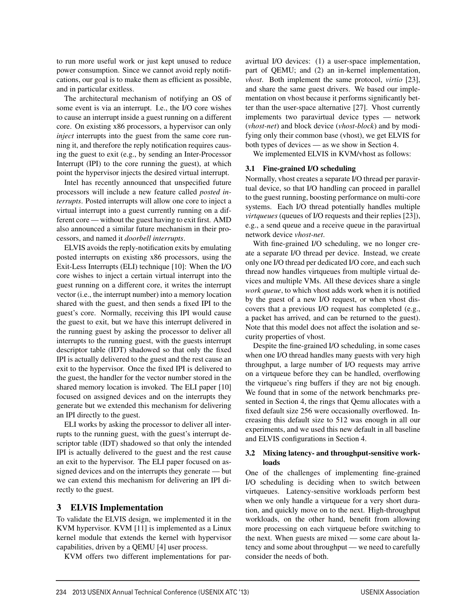to run more useful work or just kept unused to reduce power consumption. Since we cannot avoid reply notifications, our goal is to make them as efficient as possible, and in particular exitless.

The architectural mechanism of notifying an OS of some event is via an interrupt. I.e., the I/O core wishes to cause an interrupt inside a guest running on a different core. On existing x86 processors, a hypervisor can only *inject* interrupts into the guest from the same core running it, and therefore the reply notification requires causing the guest to exit (e.g., by sending an Inter-Processor Interrupt (IPI) to the core running the guest), at which point the hypervisor injects the desired virtual interrupt.

Intel has recently announced that unspecified future processors will include a new feature called *posted interrupts*. Posted interrupts will allow one core to inject a virtual interrupt into a guest currently running on a different core — without the guest having to exit first. AMD also announced a similar future mechanism in their processors, and named it *doorbell interrupts*.

ELVIS avoids the reply-notification exits by emulating posted interrupts on existing x86 processors, using the Exit-Less Interrupts (ELI) technique [10]: When the I/O core wishes to inject a certain virtual interrupt into the guest running on a different core, it writes the interrupt vector (i.e., the interrupt number) into a memory location shared with the guest, and then sends a fixed IPI to the guest's core. Normally, receiving this IPI would cause the guest to exit, but we have this interrupt delivered in the running guest by asking the processor to deliver all interrupts to the running guest, with the guests interrupt descriptor table (IDT) shadowed so that only the fixed IPI is actually delivered to the guest and the rest cause an exit to the hypervisor. Once the fixed IPI is delivered to the guest, the handler for the vector number stored in the shared memory location is invoked. The ELI paper [10] focused on assigned devices and on the interrupts they generate but we extended this mechanism for delivering an IPI directly to the guest.

ELI works by asking the processor to deliver all interrupts to the running guest, with the guest's interrupt descriptor table (IDT) shadowed so that only the intended IPI is actually delivered to the guest and the rest cause an exit to the hypervisor. The ELI paper focused on assigned devices and on the interrupts they generate — but we can extend this mechanism for delivering an IPI directly to the guest.

# 3 ELVIS Implementation

To validate the ELVIS design, we implemented it in the KVM hypervisor. KVM [11] is implemented as a Linux kernel module that extends the kernel with hypervisor capabilities, driven by a QEMU [4] user process.

KVM offers two different implementations for par-

avirtual I/O devices: (1) a user-space implementation, part of QEMU; and (2) an in-kernel implementation, *vhost*. Both implement the same protocol, *virtio* [23], and share the same guest drivers. We based our implementation on vhost because it performs significantly better than the user-space alternative [27]. Vhost currently implements two paravirtual device types — network (*vhost-net*) and block device (*vhost-block*) and by modifying only their common base (vhost), we get ELVIS for both types of devices — as we show in Section 4.

We implemented ELVIS in KVM/vhost as follows:

# 3.1 Fine-grained I/O scheduling

Normally, vhost creates a separate I/O thread per paravirtual device, so that I/O handling can proceed in parallel to the guest running, boosting performance on multi-core systems. Each I/O thread potentially handles multiple *virtqueues* (queues of I/O requests and their replies [23]), e.g., a send queue and a receive queue in the paravirtual network device *vhost-net*.

With fine-grained I/O scheduling, we no longer create a separate I/O thread per device. Instead, we create only one I/O thread per dedicated I/O core, and each such thread now handles virtqueues from multiple virtual devices and multiple VMs. All these devices share a single *work queue*, to which vhost adds work when it is notified by the guest of a new I/O request, or when vhost discovers that a previous I/O request has completed (e.g., a packet has arrived, and can be returned to the guest). Note that this model does not affect the isolation and security properties of vhost.

Despite the fine-grained I/O scheduling, in some cases when one I/O thread handles many guests with very high throughput, a large number of I/O requests may arrive on a virtqueue before they can be handled, overflowing the virtqueue's ring buffers if they are not big enough. We found that in some of the network benchmarks presented in Section 4, the rings that Qemu allocates with a fixed default size 256 were occasionally overflowed. Increasing this default size to 512 was enough in all our experiments, and we used this new default in all baseline and ELVIS configurations in Section 4.

# 3.2 Mixing latency- and throughput-sensitive workloads

One of the challenges of implementing fine-grained I/O scheduling is deciding when to switch between virtqueues. Latency-sensitive workloads perform best when we only handle a virtqueue for a very short duration, and quickly move on to the next. High-throughput workloads, on the other hand, benefit from allowing more processing on each virtqueue before switching to the next. When guests are mixed — some care about latency and some about throughput — we need to carefully consider the needs of both.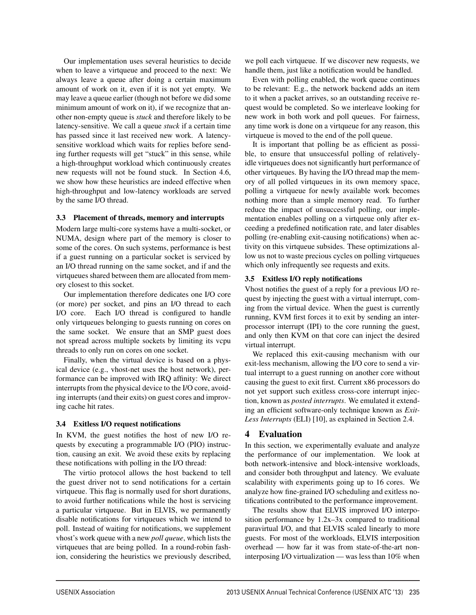Our implementation uses several heuristics to decide when to leave a virtqueue and proceed to the next: We always leave a queue after doing a certain maximum amount of work on it, even if it is not yet empty. We may leave a queue earlier (though not before we did some minimum amount of work on it), if we recognize that another non-empty queue is *stuck* and therefore likely to be latency-sensitive. We call a queue *stuck* if a certain time has passed since it last received new work. A latencysensitive workload which waits for replies before sending further requests will get "stuck" in this sense, while a high-throughput workload which continuously creates new requests will not be found stuck. In Section 4.6, we show how these heuristics are indeed effective when high-throughput and low-latency workloads are served by the same I/O thread.

### 3.3 Placement of threads, memory and interrupts

Modern large multi-core systems have a multi-socket, or NUMA, design where part of the memory is closer to some of the cores. On such systems, performance is best if a guest running on a particular socket is serviced by an I/O thread running on the same socket, and if and the virtqueues shared between them are allocated from memory closest to this socket.

Our implementation therefore dedicates one I/O core (or more) per socket, and pins an I/O thread to each I/O core. Each I/O thread is configured to handle only virtqueues belonging to guests running on cores on the same socket. We ensure that an SMP guest does not spread across multiple sockets by limiting its vcpu threads to only run on cores on one socket.

Finally, when the virtual device is based on a physical device (e.g., vhost-net uses the host network), performance can be improved with IRQ affinity: We direct interrupts from the physical device to the I/O core, avoiding interrupts (and their exits) on guest cores and improving cache hit rates.

# 3.4 Exitless I/O request notifications

In KVM, the guest notifies the host of new I/O requests by executing a programmable I/O (PIO) instruction, causing an exit. We avoid these exits by replacing these notifications with polling in the I/O thread:

The virtio protocol allows the host backend to tell the guest driver not to send notifications for a certain virtqueue. This flag is normally used for short durations, to avoid further notifications while the host is servicing a particular virtqueue. But in ELVIS, we permanently disable notifications for virtqueues which we intend to poll. Instead of waiting for notifications, we supplement vhost's work queue with a new *poll queue*, which lists the virtqueues that are being polled. In a round-robin fashion, considering the heuristics we previously described, we poll each virtqueue. If we discover new requests, we handle them, just like a notification would be handled.

Even with polling enabled, the work queue continues to be relevant: E.g., the network backend adds an item to it when a packet arrives, so an outstanding receive request would be completed. So we interleave looking for new work in both work and poll queues. For fairness, any time work is done on a virtqueue for any reason, this virtqueue is moved to the end of the poll queue.

It is important that polling be as efficient as possible, to ensure that unsuccessful polling of relativelyidle virtqueues does not significantly hurt performance of other virtqueues. By having the I/O thread map the memory of all polled virtqueues in its own memory space, polling a virtqueue for newly available work becomes nothing more than a simple memory read. To further reduce the impact of unsuccessful polling, our implementation enables polling on a virtqueue only after exceeding a predefined notification rate, and later disables polling (re-enabling exit-causing notifications) when activity on this virtqueue subsides. These optimizations allow us not to waste precious cycles on polling virtqueues which only infrequently see requests and exits.

# 3.5 Exitless I/O reply notifications

Vhost notifies the guest of a reply for a previous I/O request by injecting the guest with a virtual interrupt, coming from the virtual device. When the guest is currently running, KVM first forces it to exit by sending an interprocessor interrupt (IPI) to the core running the guest, and only then KVM on that core can inject the desired virtual interrupt.

We replaced this exit-causing mechanism with our exit-less mechanism, allowing the I/O core to send a virtual interrupt to a guest running on another core without causing the guest to exit first. Current x86 processors do not yet support such exitless cross-core interrupt injection, known as *posted interrupts*. We emulated it extending an efficient software-only technique known as *Exit-Less Interrupts* (ELI) [10], as explained in Section 2.4.

# 4 Evaluation

5

In this section, we experimentally evaluate and analyze the performance of our implementation. We look at both network-intensive and block-intensive workloads, and consider both throughput and latency. We evaluate scalability with experiments going up to 16 cores. We analyze how fine-grained I/O scheduling and exitless notifications contributed to the performance improvement.

The results show that ELVIS improved I/O interposition performance by 1.2x–3x compared to traditional paravirtual I/O, and that ELVIS scaled linearly to more guests. For most of the workloads, ELVIS interposition overhead — how far it was from state-of-the-art noninterposing I/O virtualization — was less than 10% when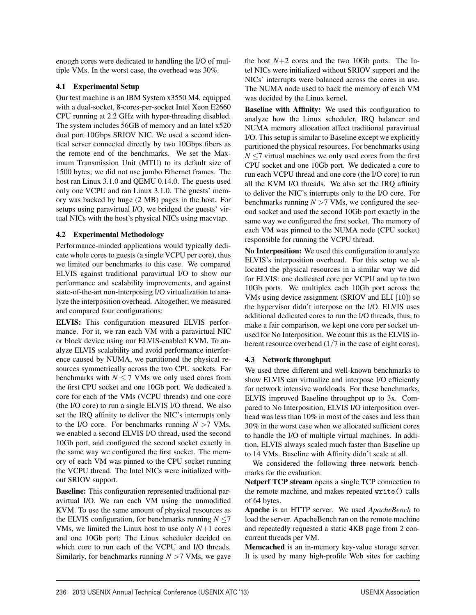enough cores were dedicated to handling the I/O of multiple VMs. In the worst case, the overhead was 30%.

# 4.1 Experimental Setup

Our test machine is an IBM System x3550 M4, equipped with a dual-socket, 8-cores-per-socket Intel Xeon E2660 CPU running at 2.2 GHz with hyper-threading disabled. The system includes 56GB of memory and an Intel x520 dual port 10Gbps SRIOV NIC. We used a second identical server connected directly by two 10Gbps fibers as the remote end of the benchmarks. We set the Maximum Transmission Unit (MTU) to its default size of 1500 bytes; we did not use jumbo Ethernet frames. The host ran Linux 3.1.0 and QEMU 0.14.0. The guests used only one VCPU and ran Linux 3.1.0. The guests' memory was backed by huge (2 MB) pages in the host. For setups using paravirtual I/O, we bridged the guests' virtual NICs with the host's physical NICs using macvtap.

# 4.2 Experimental Methodology

Performance-minded applications would typically dedicate whole cores to guests (a single VCPU per core), thus we limited our benchmarks to this case. We compared ELVIS against traditional paravirtual I/O to show our performance and scalability improvements, and against state-of-the-art non-interposing I/O virtualization to analyze the interposition overhead. Altogether, we measured and compared four configurations:

ELVIS: This configuration measured ELVIS performance. For it, we ran each VM with a paravirtual NIC or block device using our ELVIS-enabled KVM. To analyze ELVIS scalability and avoid performance interference caused by NUMA, we partitioned the physical resources symmetrically across the two CPU sockets. For benchmarks with  $N \le 7$  VMs we only used cores from the first CPU socket and one 10Gb port. We dedicated a core for each of the VMs (VCPU threads) and one core (the I/O core) to run a single ELVIS I/O thread. We also set the IRQ affinity to deliver the NIC's interrupts only to the I/O core. For benchmarks running *N >*7 VMs, we enabled a second ELVIS I/O thread, used the second 10Gb port, and configured the second socket exactly in the same way we configured the first socket. The memory of each VM was pinned to the CPU socket running the VCPU thread. The Intel NICs were initialized without SRIOV support.

Baseline: This configuration represented traditional paravirtual I/O. We ran each VM using the unmodified KVM. To use the same amount of physical resources as the ELVIS configuration, for benchmarks running  $N \le 7$ VMs, we limited the Linux host to use only  $N+1$  cores and one 10Gb port; The Linux scheduler decided on which core to run each of the VCPU and I/O threads. Similarly, for benchmarks running *N >*7 VMs, we gave the host  $N+2$  cores and the two 10Gb ports. The Intel NICs were initialized without SRIOV support and the NICs' interrupts were balanced across the cores in use. The NUMA node used to back the memory of each VM was decided by the Linux kernel.

Baseline with Affinity: We used this configuration to analyze how the Linux scheduler, IRQ balancer and NUMA memory allocation affect traditional paravirtual I/O. This setup is similar to Baseline except we explicitly partitioned the physical resources. For benchmarks using *N* ≤7 virtual machines we only used cores from the first CPU socket and one 10Gb port. We dedicated a core to run each VCPU thread and one core (the I/O core) to run all the KVM I/O threads. We also set the IRQ affinity to deliver the NIC's interrupts only to the I/O core. For benchmarks running  $N > 7$  VMs, we configured the second socket and used the second 10Gb port exactly in the same way we configured the first socket. The memory of each VM was pinned to the NUMA node (CPU socket) responsible for running the VCPU thread.

No Interposition: We used this configuration to analyze ELVIS's interposition overhead. For this setup we allocated the physical resources in a similar way we did for ELVIS: one dedicated core per VCPU and up to two 10Gb ports. We multiplex each 10Gb port across the VMs using device assignment (SRIOV and ELI [10]) so the hypervisor didn't interpose on the I/O. ELVIS uses additional dedicated cores to run the I/O threads, thus, to make a fair comparison, we kept one core per socket unused for No Interposition. We count this as the ELVIS inherent resource overhead  $(1/7)$  in the case of eight cores).

# 4.3 Network throughput

We used three different and well-known benchmarks to show ELVIS can virtualize and interpose I/O efficiently for network intensive workloads. For these benchmarks, ELVIS improved Baseline throughput up to 3x. Compared to No Interposition, ELVIS I/O interposition overhead was less than 10% in most of the cases and less than 30% in the worst case when we allocated sufficient cores to handle the I/O of multiple virtual machines. In addition, ELVIS always scaled much faster than Baseline up to 14 VMs. Baseline with Affinity didn't scale at all.

We considered the following three network benchmarks for the evaluation:

Netperf TCP stream opens a single TCP connection to the remote machine, and makes repeated write() calls of 64 bytes.

Apache is an HTTP server. We used *ApacheBench* to load the server. ApacheBench ran on the remote machine and repeatedly requested a static 4KB page from 2 concurrent threads per VM.

Memcached is an in-memory key-value storage server. It is used by many high-profile Web sites for caching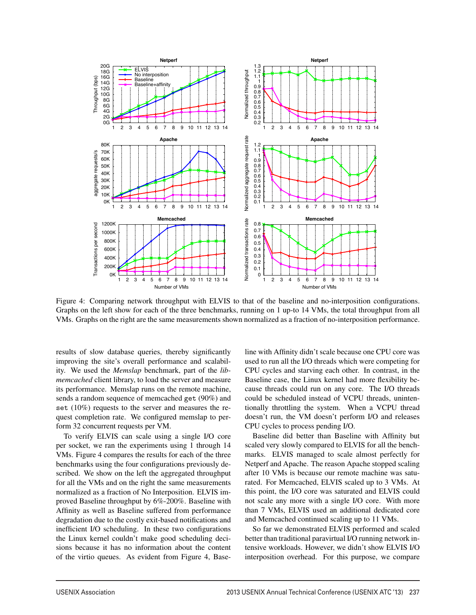

Figure 4: Comparing network throughput with ELVIS to that of the baseline and no-interposition configurations. Graphs on the left show for each of the three benchmarks, running on 1 up-to 14 VMs, the total throughput from all VMs. Graphs on the right are the same measurements shown normalized as a fraction of no-interposition performance.

7

results of slow database queries, thereby significantly improving the site's overall performance and scalability. We used the *Memslap* benchmark, part of the *libmemcached* client library, to load the server and measure its performance. Memslap runs on the remote machine, sends a random sequence of memcached get (90%) and set (10%) requests to the server and measures the request completion rate. We configured memslap to perform 32 concurrent requests per VM.

To verify ELVIS can scale using a single I/O core per socket, we ran the experiments using 1 through 14 VMs. Figure 4 compares the results for each of the three benchmarks using the four configurations previously described. We show on the left the aggregated throughput for all the VMs and on the right the same measurements normalized as a fraction of No Interposition. ELVIS improved Baseline throughput by 6%-200%. Baseline with Affinity as well as Baseline suffered from performance degradation due to the costly exit-based notifications and inefficient I/O scheduling. In these two configurations the Linux kernel couldn't make good scheduling decisions because it has no information about the content of the virtio queues. As evident from Figure 4, Baseline with Affinity didn't scale because one CPU core was used to run all the I/O threads which were competing for CPU cycles and starving each other. In contrast, in the Baseline case, the Linux kernel had more flexibility because threads could run on any core. The I/O threads could be scheduled instead of VCPU threads, unintentionally throttling the system. When a VCPU thread doesn't run, the VM doesn't perform I/O and releases CPU cycles to process pending I/O.

Baseline did better than Baseline with Affinity but scaled very slowly compared to ELVIS for all the benchmarks. ELVIS managed to scale almost perfectly for Netperf and Apache. The reason Apache stopped scaling after 10 VMs is because our remote machine was saturated. For Memcached, ELVIS scaled up to 3 VMs. At this point, the I/O core was saturated and ELVIS could not scale any more with a single I/O core. With more than 7 VMs, ELVIS used an additional dedicated core and Memcached continued scaling up to 11 VMs.

So far we demonstrated ELVIS performed and scaled better than traditional paravirtual I/O running network intensive workloads. However, we didn't show ELVIS I/O interposition overhead. For this purpose, we compare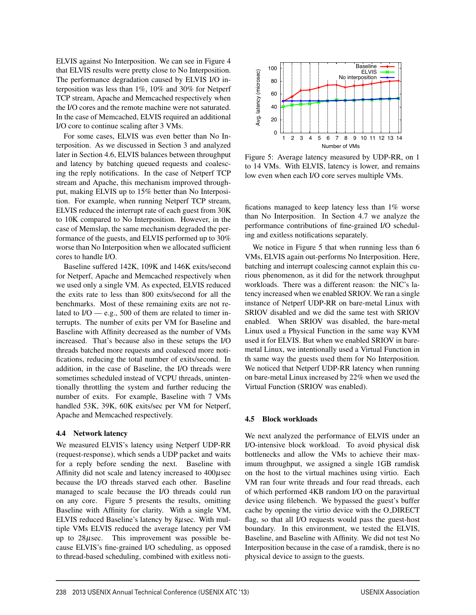ELVIS against No Interposition. We can see in Figure 4 that ELVIS results were pretty close to No Interposition. The performance degradation caused by ELVIS I/O interposition was less than 1%, 10% and 30% for Netperf TCP stream, Apache and Memcached respectively when the I/O cores and the remote machine were not saturated. In the case of Memcached, ELVIS required an additional I/O core to continue scaling after 3 VMs.

For some cases, ELVIS was even better than No Interposition. As we discussed in Section 3 and analyzed later in Section 4.6, ELVIS balances between throughput and latency by batching queued requests and coalescing the reply notifications. In the case of Netperf TCP stream and Apache, this mechanism improved throughput, making ELVIS up to 15% better than No Interposition. For example, when running Netperf TCP stream, ELVIS reduced the interrupt rate of each guest from 30K to 10K compared to No Interposition. However, in the case of Memslap, the same mechanism degraded the performance of the guests, and ELVIS performed up to 30% worse than No Interposition when we allocated sufficient cores to handle I/O.

Baseline suffered 142K, 109K and 146K exits/second for Netperf, Apache and Memcached respectively when we used only a single VM. As expected, ELVIS reduced the exits rate to less than 800 exits/second for all the benchmarks. Most of these remaining exits are not related to  $I/O = e.g., 500$  of them are related to timer interrupts. The number of exits per VM for Baseline and Baseline with Affinity decreased as the number of VMs increased. That's because also in these setups the I/O threads batched more requests and coalesced more notifications, reducing the total number of exits/second. In addition, in the case of Baseline, the I/O threads were sometimes scheduled instead of VCPU threads, unintentionally throttling the system and further reducing the number of exits. For example, Baseline with 7 VMs handled 53K, 39K, 60K exits/sec per VM for Netperf, Apache and Memcached respectively.

#### 4.4 Network latency

We measured ELVIS's latency using Netperf UDP-RR (request-response), which sends a UDP packet and waits for a reply before sending the next. Baseline with Affinity did not scale and latency increased to  $400\mu$ sec because the I/O threads starved each other. Baseline managed to scale because the I/O threads could run on any core. Figure 5 presents the results, omitting Baseline with Affinity for clarity. With a single VM, ELVIS reduced Baseline's latency by 8µsec. With multiple VMs ELVIS reduced the average latency per VM up to  $28\mu$ sec. This improvement was possible because ELVIS's fine-grained I/O scheduling, as opposed to thread-based scheduling, combined with exitless noti-



Figure 5: Average latency measured by UDP-RR, on 1 to 14 VMs. With ELVIS, latency is lower, and remains low even when each I/O core serves multiple VMs.

fications managed to keep latency less than 1% worse than No Interposition. In Section 4.7 we analyze the performance contributions of fine-grained I/O scheduling and exitless notifications separately.

We notice in Figure 5 that when running less than 6 VMs, ELVIS again out-performs No Interposition. Here, batching and interrupt coalescing cannot explain this curious phenomenon, as it did for the network throughput workloads. There was a different reason: the NIC's latency increased when we enabled SRIOV. We ran a single instance of Netperf UDP-RR on bare-metal Linux with SRIOV disabled and we did the same test with SRIOV enabled. When SRIOV was disabled, the bare-metal Linux used a Physical Function in the same way KVM used it for ELVIS. But when we enabled SRIOV in baremetal Linux, we intentionally used a Virtual Function in th same way the guests used them for No Interposition. We noticed that Netperf UDP-RR latency when running on bare-metal Linux increased by 22% when we used the Virtual Function (SRIOV was enabled).

#### 4.5 Block workloads

8

We next analyzed the performance of ELVIS under an I/O-intensive block workload. To avoid physical disk bottlenecks and allow the VMs to achieve their maximum throughput, we assigned a single 1GB ramdisk on the host to the virtual machines using virtio. Each VM ran four write threads and four read threads, each of which performed 4KB random I/O on the paravirtual device using filebench. We bypassed the guest's buffer cache by opening the virtio device with the O DIRECT flag, so that all I/O requests would pass the guest-host boundary. In this environment, we tested the ELVIS, Baseline, and Baseline with Affinity. We did not test No Interposition because in the case of a ramdisk, there is no physical device to assign to the guests.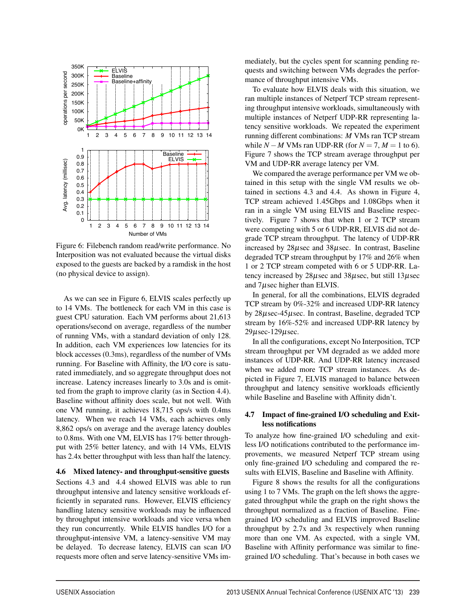

Figure 6: Filebench random read/write performance. No Interposition was not evaluated because the virtual disks exposed to the guests are backed by a ramdisk in the host (no physical device to assign).

As we can see in Figure 6, ELVIS scales perfectly up to 14 VMs. The bottleneck for each VM in this case is guest CPU saturation. Each VM performs about 21,613 operations/second on average, regardless of the number of running VMs, with a standard deviation of only 128. In addition, each VM experiences low latencies for its block accesses (0.3ms), regardless of the number of VMs running. For Baseline with Affinity, the I/O core is saturated immediately, and so aggregate throughput does not increase. Latency increases linearly to 3.0s and is omitted from the graph to improve clarity (as in Section 4.4). Baseline without affinity does scale, but not well. With one VM running, it achieves 18,715 ops/s with 0.4ms latency. When we reach 14 VMs, each achieves only 8,862 ops/s on average and the average latency doubles to 0.8ms. With one VM, ELVIS has 17% better throughput with 25% better latency, and with 14 VMs, ELVIS has 2.4x better throughput with less than half the latency.

4.6 Mixed latency- and throughput-sensitive guests Sections 4.3 and 4.4 showed ELVIS was able to run throughput intensive and latency sensitive workloads efficiently in separated runs. However, ELVIS efficiency handling latency sensitive workloads may be influenced by throughput intensive workloads and vice versa when they run concurrently. While ELVIS handles I/O for a throughput-intensive VM, a latency-sensitive VM may be delayed. To decrease latency, ELVIS can scan I/O requests more often and serve latency-sensitive VMs immediately, but the cycles spent for scanning pending requests and switching between VMs degrades the performance of throughput intensive VMs.

To evaluate how ELVIS deals with this situation, we ran multiple instances of Netperf TCP stream representing throughput intensive workloads, simultaneously with multiple instances of Netperf UDP-RR representing latency sensitive workloads. We repeated the experiment running different combinations: *M* VMs ran TCP stream while  $N - M$  VMs ran UDP-RR (for  $N = 7$ ,  $M = 1$  to 6). Figure 7 shows the TCP stream average throughput per VM and UDP-RR average latency per VM.

We compared the average performance per VM we obtained in this setup with the single VM results we obtained in sections 4.3 and 4.4. As shown in Figure 4, TCP stream achieved 1.45Gbps and 1.08Gbps when it ran in a single VM using ELVIS and Baseline respectively. Figure 7 shows that when 1 or 2 TCP stream were competing with 5 or 6 UDP-RR, ELVIS did not degrade TCP stream throughput. The latency of UDP-RR increased by  $28\mu$ sec and  $38\mu$ sec. In contrast, Baseline degraded TCP stream throughput by 17% and 26% when 1 or 2 TCP stream competed with 6 or 5 UDP-RR. Latency increased by 28µsec and 38µsec, but still 13µsec and  $7\mu$ sec higher than ELVIS.

In general, for all the combinations, ELVIS degraded TCP stream by 0%-32% and increased UDP-RR latency by 28µsec-45µsec. In contrast, Baseline, degraded TCP stream by 16%-52% and increased UDP-RR latency by 29µsec-129µsec.

In all the configurations, except No Interposition, TCP stream throughput per VM degraded as we added more instances of UDP-RR. And UDP-RR latency increased when we added more TCP stream instances. As depicted in Figure 7, ELVIS managed to balance between throughput and latency sensitive workloads efficiently while Baseline and Baseline with Affinity didn't.

### 4.7 Impact of fine-grained I/O scheduling and Exitless notifications

To analyze how fine-grained I/O scheduling and exitless I/O notifications contributed to the performance improvements, we measured Netperf TCP stream using only fine-grained I/O scheduling and compared the results with ELVIS, Baseline and Baseline with Affinity.

Figure 8 shows the results for all the configurations using 1 to 7 VMs. The graph on the left shows the aggregated throughput while the graph on the right shows the throughput normalized as a fraction of Baseline. Finegrained I/O scheduling and ELVIS improved Baseline throughput by 2.7x and 3x respectively when running more than one VM. As expected, with a single VM, Baseline with Affinity performance was similar to finegrained I/O scheduling. That's because in both cases we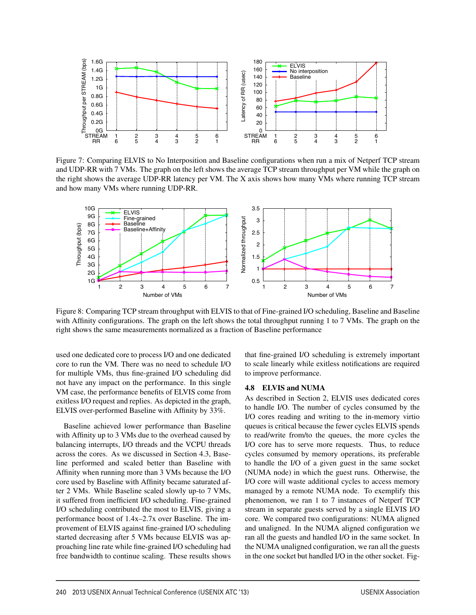

Figure 7: Comparing ELVIS to No Interposition and Baseline configurations when run a mix of Netperf TCP stream and UDP-RR with 7 VMs. The graph on the left shows the average TCP stream throughput per VM while the graph on the right shows the average UDP-RR latency per VM. The X axis shows how many VMs where running TCP stream and how many VMs where running UDP-RR.



Figure 8: Comparing TCP stream throughput with ELVIS to that of Fine-grained I/O scheduling, Baseline and Baseline with Affinity configurations. The graph on the left shows the total throughput running 1 to 7 VMs. The graph on the right shows the same measurements normalized as a fraction of Baseline performance

 $\overline{a}$ 

used one dedicated core to process I/O and one dedicated core to run the VM. There was no need to schedule I/O for multiple VMs, thus fine-grained I/O scheduling did not have any impact on the performance. In this single VM case, the performance benefits of ELVIS come from exitless I/O request and replies. As depicted in the graph, ELVIS over-performed Baseline with Affinity by 33%.

Baseline achieved lower performance than Baseline with Affinity up to 3 VMs due to the overhead caused by balancing interrupts, I/O threads and the VCPU threads across the cores. As we discussed in Section 4.3, Baseline performed and scaled better than Baseline with Affinity when running more than 3 VMs because the I/O core used by Baseline with Affinity became saturated after 2 VMs. While Baseline scaled slowly up-to 7 VMs, it suffered from inefficient I/O scheduling. Fine-grained I/O scheduling contributed the most to ELVIS, giving a performance boost of 1.4x–2.7x over Baseline. The improvement of ELVIS against fine-grained I/O scheduling started decreasing after 5 VMs because ELVIS was approaching line rate while fine-grained I/O scheduling had free bandwidth to continue scaling. These results shows that fine-grained I/O scheduling is extremely important to scale linearly while exitless notifications are required to improve performance.

### 4.8 ELVIS and NUMA

As described in Section 2, ELVIS uses dedicated cores to handle I/O. The number of cycles consumed by the I/O cores reading and writing to the in-memory virtio queues is critical because the fewer cycles ELVIS spends to read/write from/to the queues, the more cycles the I/O core has to serve more requests. Thus, to reduce cycles consumed by memory operations, its preferable to handle the I/O of a given guest in the same socket (NUMA node) in which the guest runs. Otherwise, the I/O core will waste additional cycles to access memory managed by a remote NUMA node. To exemplify this phenomenon, we ran 1 to 7 instances of Netperf TCP stream in separate guests served by a single ELVIS I/O core. We compared two configurations: NUMA aligned and unaligned. In the NUMA aligned configuration we ran all the guests and handled I/O in the same socket. In the NUMA unaligned configuration, we ran all the guests in the one socket but handled I/O in the other socket. Fig-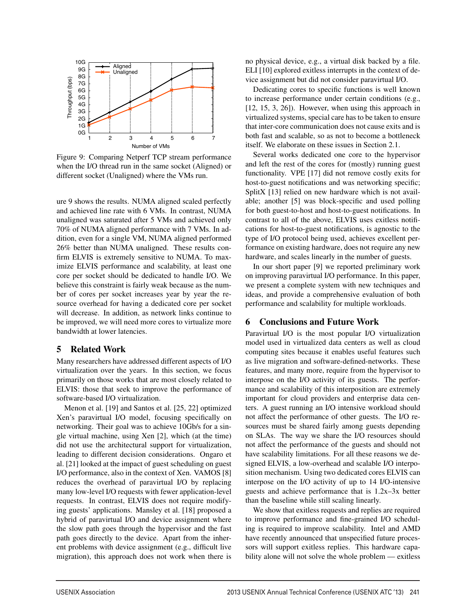

Figure 9: Comparing Netperf TCP stream performance when the I/O thread run in the same socket (Aligned) or different socket (Unaligned) where the VMs run.

ure 9 shows the results. NUMA aligned scaled perfectly and achieved line rate with 6 VMs. In contrast, NUMA unaligned was saturated after 5 VMs and achieved only 70% of NUMA aligned performance with 7 VMs. In addition, even for a single VM, NUMA aligned performed 26% better than NUMA unaligned. These results confirm ELVIS is extremely sensitive to NUMA. To maximize ELVIS performance and scalability, at least one core per socket should be dedicated to handle I/O. We believe this constraint is fairly weak because as the number of cores per socket increases year by year the resource overhead for having a dedicated core per socket will decrease. In addition, as network links continue to be improved, we will need more cores to virtualize more bandwidth at lower latencies.

### 5 Related Work

Many researchers have addressed different aspects of I/O virtualization over the years. In this section, we focus primarily on those works that are most closely related to ELVIS: those that seek to improve the performance of software-based I/O virtualization.

Menon et al. [19] and Santos et al. [25, 22] optimized Xen's paravirtual I/O model, focusing specifically on networking. Their goal was to achieve 10Gb/s for a single virtual machine, using Xen [2], which (at the time) did not use the architectural support for virtualization, leading to different decision considerations. Ongaro et al. [21] looked at the impact of guest scheduling on guest I/O performance, also in the context of Xen. VAMOS [8] reduces the overhead of paravirtual I/O by replacing many low-level I/O requests with fewer application-level requests. In contrast, ELVIS does not require modifying guests' applications. Mansley et al. [18] proposed a hybrid of paravirtual I/O and device assignment where the slow path goes through the hypervisor and the fast path goes directly to the device. Apart from the inherent problems with device assignment (e.g., difficult live migration), this approach does not work when there is

no physical device, e.g., a virtual disk backed by a file. ELI [10] explored exitless interrupts in the context of device assignment but did not consider paravirtual I/O.

Dedicating cores to specific functions is well known to increase performance under certain conditions (e.g., [12, 15, 3, 26]). However, when using this approach in virtualized systems, special care has to be taken to ensure that inter-core communication does not cause exits and is both fast and scalable, so as not to become a bottleneck itself. We elaborate on these issues in Section 2.1.

Several works dedicated one core to the hypervisor and left the rest of the cores for (mostly) running guest functionality. VPE [17] did not remove costly exits for host-to-guest notifications and was networking specific; SplitX [13] relied on new hardware which is not available; another [5] was block-specific and used polling for both guest-to-host and host-to-guest notifications. In contrast to all of the above, ELVIS uses exitless notifications for host-to-guest notifications, is agnostic to the type of I/O protocol being used, achieves excellent performance on existing hardware, does not require any new hardware, and scales linearly in the number of guests.

In our short paper [9] we reported preliminary work on improving paravirtual I/O performance. In this paper, we present a complete system with new techniques and ideas, and provide a comprehensive evaluation of both performance and scalability for multiple workloads.

# 6 Conclusions and Future Work

Paravirtual I/O is the most popular I/O virtualization model used in virtualized data centers as well as cloud computing sites because it enables useful features such as live migration and software-defined-networks. These features, and many more, require from the hypervisor to interpose on the I/O activity of its guests. The performance and scalability of this interposition are extremely important for cloud providers and enterprise data centers. A guest running an I/O intensive workload should not affect the performance of other guests. The I/O resources must be shared fairly among guests depending on SLAs. The way we share the I/O resources should not affect the performance of the guests and should not have scalability limitations. For all these reasons we designed ELVIS, a low-overhead and scalable I/O interposition mechanism. Using two dedicated cores ELVIS can interpose on the I/O activity of up to 14 I/O-intensive guests and achieve performance that is 1.2x–3x better than the baseline while still scaling linearly.

We show that exitless requests and replies are required to improve performance and fine-grained I/O scheduling is required to improve scalability. Intel and AMD have recently announced that unspecified future processors will support exitless replies. This hardware capability alone will not solve the whole problem — exitless

 $\overline{1}$